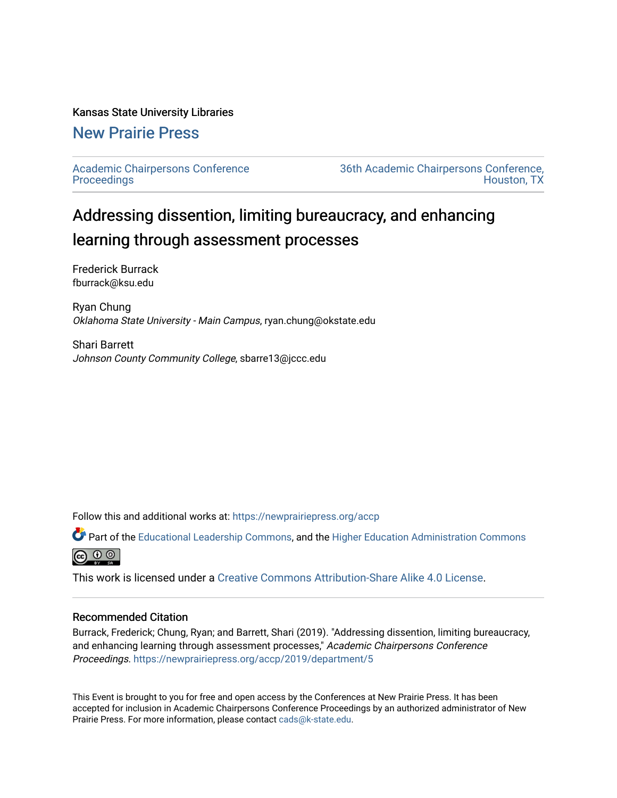#### Kansas State University Libraries

## [New Prairie Press](https://newprairiepress.org/)

[Academic Chairpersons Conference](https://newprairiepress.org/accp)  **Proceedings** 

[36th Academic Chairpersons Conference,](https://newprairiepress.org/accp/2019)  [Houston, TX](https://newprairiepress.org/accp/2019) 

# Addressing dissention, limiting bureaucracy, and enhancing learning through assessment processes

Frederick Burrack fburrack@ksu.edu

Ryan Chung Oklahoma State University - Main Campus, ryan.chung@okstate.edu

Shari Barrett Johnson County Community College, sbarre13@jccc.edu

Follow this and additional works at: [https://newprairiepress.org/accp](https://newprairiepress.org/accp?utm_source=newprairiepress.org%2Faccp%2F2019%2Fdepartment%2F5&utm_medium=PDF&utm_campaign=PDFCoverPages) 

Part of the [Educational Leadership Commons,](http://network.bepress.com/hgg/discipline/1230?utm_source=newprairiepress.org%2Faccp%2F2019%2Fdepartment%2F5&utm_medium=PDF&utm_campaign=PDFCoverPages) and the [Higher Education Administration Commons](http://network.bepress.com/hgg/discipline/791?utm_source=newprairiepress.org%2Faccp%2F2019%2Fdepartment%2F5&utm_medium=PDF&utm_campaign=PDFCoverPages) ெ 0 ©

This work is licensed under a [Creative Commons Attribution-Share Alike 4.0 License.](https://creativecommons.org/licenses/by-sa/4.0/)

#### Recommended Citation

Burrack, Frederick; Chung, Ryan; and Barrett, Shari (2019). "Addressing dissention, limiting bureaucracy, and enhancing learning through assessment processes," Academic Chairpersons Conference Proceedings. <https://newprairiepress.org/accp/2019/department/5>

This Event is brought to you for free and open access by the Conferences at New Prairie Press. It has been accepted for inclusion in Academic Chairpersons Conference Proceedings by an authorized administrator of New Prairie Press. For more information, please contact [cads@k-state.edu.](mailto:cads@k-state.edu)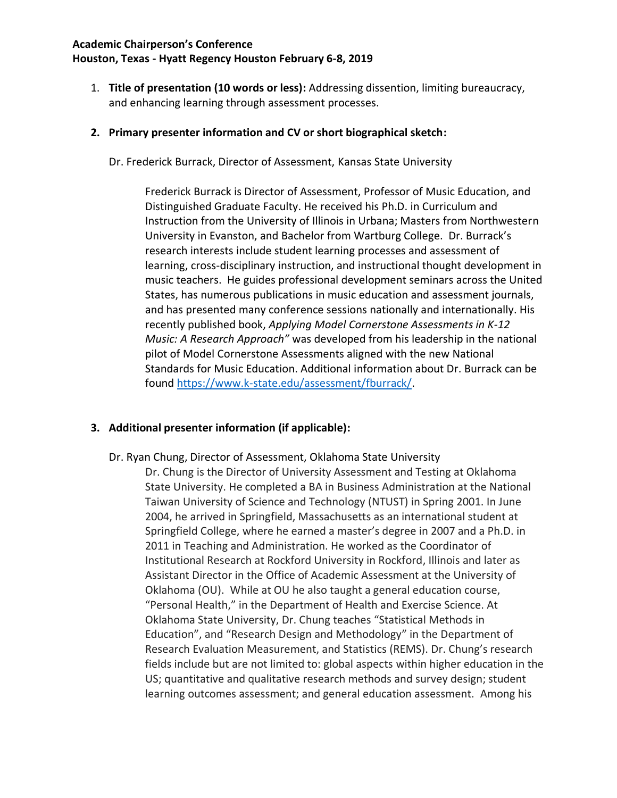## **Academic Chairperson's Conference Houston, Texas - Hyatt Regency Houston February 6-8, 2019**

1. **Title of presentation (10 words or less):** Addressing dissention, limiting bureaucracy, and enhancing learning through assessment processes.

#### **2. Primary presenter information and CV or short biographical sketch:**

Dr. Frederick Burrack, Director of Assessment, Kansas State University

Frederick Burrack is Director of Assessment, Professor of Music Education, and Distinguished Graduate Faculty. He received his Ph.D. in Curriculum and Instruction from the University of Illinois in Urbana; Masters from Northwestern University in Evanston, and Bachelor from Wartburg College. Dr. Burrack's research interests include student learning processes and assessment of learning, cross-disciplinary instruction, and instructional thought development in music teachers. He guides professional development seminars across the United States, has numerous publications in music education and assessment journals, and has presented many conference sessions nationally and internationally. His recently published book, *Applying Model Cornerstone Assessments in K-12 Music: A Research Approach"* was developed from his leadership in the national pilot of Model Cornerstone Assessments aligned with the new National Standards for Music Education. Additional information about Dr. Burrack can be found [https://www.k-state.edu/assessment/fburrack/.](https://www.k-state.edu/assessment/fburrack/)

### **3. Additional presenter information (if applicable):**

Dr. Ryan Chung, Director of Assessment, Oklahoma State University Dr. Chung is the Director of University Assessment and Testing at Oklahoma State University. He completed a BA in Business Administration at the National Taiwan University of Science and Technology (NTUST) in Spring 2001. In June 2004, he arrived in Springfield, Massachusetts as an international student at Springfield College, where he earned a master's degree in 2007 and a Ph.D. in 2011 in Teaching and Administration. He worked as the Coordinator of Institutional Research at Rockford University in Rockford, Illinois and later as Assistant Director in the Office of Academic Assessment at the University of Oklahoma (OU). While at OU he also taught a general education course, "Personal Health," in the Department of Health and Exercise Science. At Oklahoma State University, Dr. Chung teaches "Statistical Methods in Education", and "Research Design and Methodology" in the Department of Research Evaluation Measurement, and Statistics (REMS). Dr. Chung's research fields include but are not limited to: global aspects within higher education in the US; quantitative and qualitative research methods and survey design; student learning outcomes assessment; and general education assessment. Among his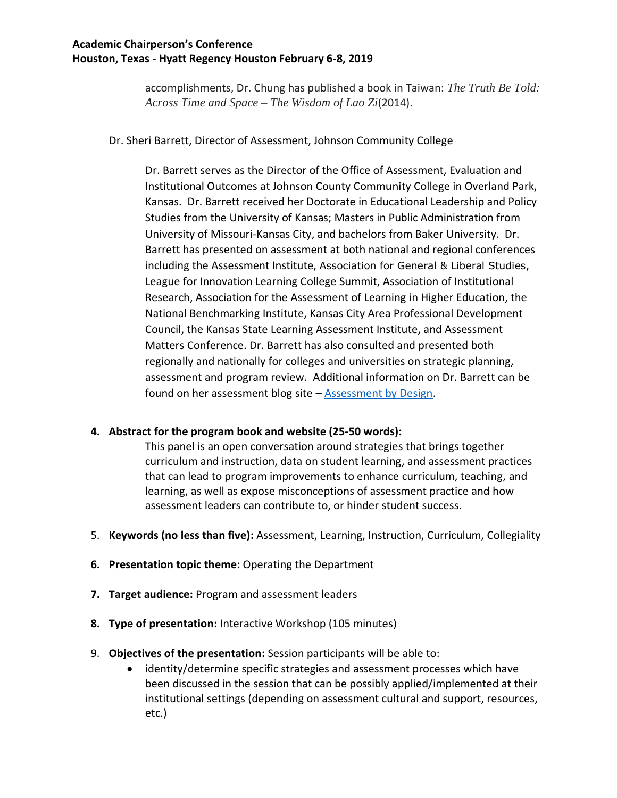#### **Academic Chairperson's Conference Houston, Texas - Hyatt Regency Houston February 6-8, 2019**

accomplishments, Dr. Chung has published a book in Taiwan: *The Truth Be Told: Across Time and Space – The Wisdom of Lao Zi*(2014).

#### Dr. Sheri Barrett, Director of Assessment, Johnson Community College

Dr. Barrett serves as the Director of the Office of Assessment, Evaluation and Institutional Outcomes at Johnson County Community College in Overland Park, Kansas. Dr. Barrett received her Doctorate in Educational Leadership and Policy Studies from the University of Kansas; Masters in Public Administration from University of Missouri-Kansas City, and bachelors from Baker University. Dr. Barrett has presented on assessment at both national and regional conferences including the Assessment Institute, Association for General & Liberal Studies, League for Innovation Learning College Summit, Association of Institutional Research, Association for the Assessment of Learning in Higher Education, the National Benchmarking Institute, Kansas City Area Professional Development Council, the Kansas State Learning Assessment Institute, and Assessment Matters Conference. Dr. Barrett has also consulted and presented both regionally and nationally for colleges and universities on strategic planning, assessment and program review. Additional information on Dr. Barrett can be found on her assessment blog site – [Assessment by Design.](file:///C:/Users/sbarre13/AppData/Local/Microsoft/Windows/INetCache/Content.Outlook/FMIX2GQU/blogs.jccc.edu/outcomesassessment)

### **4. Abstract for the program book and website (25-50 words):**

This panel is an open conversation around strategies that brings together curriculum and instruction, data on student learning, and assessment practices that can lead to program improvements to enhance curriculum, teaching, and learning, as well as expose misconceptions of assessment practice and how assessment leaders can contribute to, or hinder student success.

- 5. **Keywords (no less than five):** Assessment, Learning, Instruction, Curriculum, Collegiality
- **6. Presentation topic theme:** Operating the Department
- **7. Target audience:** Program and assessment leaders
- **8. Type of presentation:** Interactive Workshop (105 minutes)
- 9. **Objectives of the presentation:** Session participants will be able to:
	- identity/determine specific strategies and assessment processes which have been discussed in the session that can be possibly applied/implemented at their institutional settings (depending on assessment cultural and support, resources, etc.)